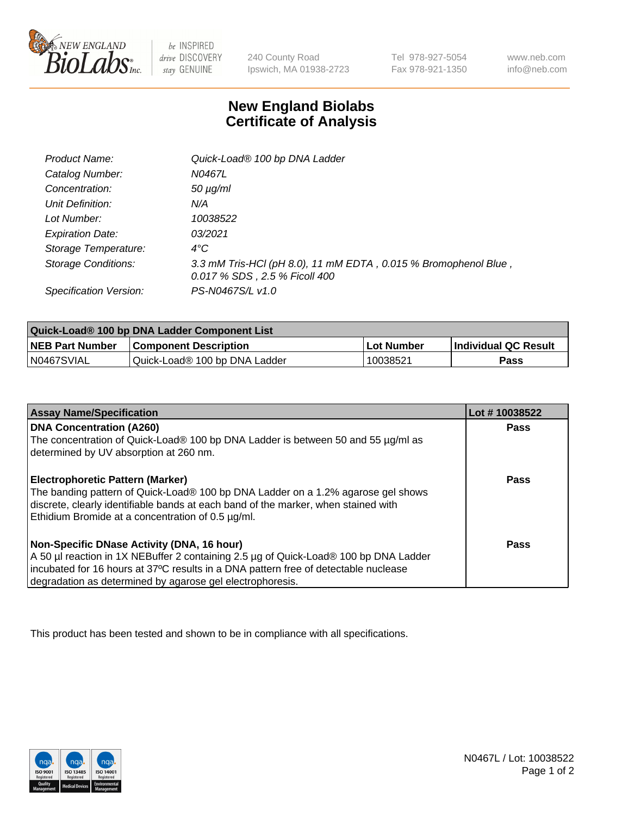

 $be$  INSPIRED drive DISCOVERY stay GENUINE

240 County Road Ipswich, MA 01938-2723 Tel 978-927-5054 Fax 978-921-1350 www.neb.com info@neb.com

## **New England Biolabs Certificate of Analysis**

| <b>Product Name:</b>       | Quick-Load® 100 bp DNA Ladder                                                                    |
|----------------------------|--------------------------------------------------------------------------------------------------|
| Catalog Number:            | N0467L                                                                                           |
| Concentration:             | $50 \mu g/ml$                                                                                    |
| Unit Definition:           | N/A                                                                                              |
| Lot Number:                | 10038522                                                                                         |
| <b>Expiration Date:</b>    | 03/2021                                                                                          |
| Storage Temperature:       | $4^{\circ}C$                                                                                     |
| <b>Storage Conditions:</b> | 3.3 mM Tris-HCl (pH 8.0), 11 mM EDTA, 0.015 % Bromophenol Blue,<br>0.017 % SDS, 2.5 % Ficoll 400 |
| Specification Version:     | PS-N0467S/L v1.0                                                                                 |

| Quick-Load® 100 bp DNA Ladder Component List |                               |            |                             |  |
|----------------------------------------------|-------------------------------|------------|-----------------------------|--|
| <b>NEB Part Number</b>                       | <b>Component Description</b>  | Lot Number | <b>Individual QC Result</b> |  |
| N0467SVIAL                                   | Quick-Load® 100 bp DNA Ladder | 10038521   | Pass                        |  |

| <b>Assay Name/Specification</b>                                                                                                                                        | Lot #10038522 |
|------------------------------------------------------------------------------------------------------------------------------------------------------------------------|---------------|
| <b>DNA Concentration (A260)</b><br>The concentration of Quick-Load® 100 bp DNA Ladder is between 50 and 55 µg/ml as                                                    | <b>Pass</b>   |
| determined by UV absorption at 260 nm.                                                                                                                                 |               |
| <b>Electrophoretic Pattern (Marker)</b>                                                                                                                                | Pass          |
| The banding pattern of Quick-Load® 100 bp DNA Ladder on a 1.2% agarose gel shows<br>discrete, clearly identifiable bands at each band of the marker, when stained with |               |
| Ethidium Bromide at a concentration of 0.5 µg/ml.                                                                                                                      |               |
| Non-Specific DNase Activity (DNA, 16 hour)                                                                                                                             | Pass          |
| A 50 µl reaction in 1X NEBuffer 2 containing 2.5 µg of Quick-Load® 100 bp DNA Ladder                                                                                   |               |
| incubated for 16 hours at 37°C results in a DNA pattern free of detectable nuclease                                                                                    |               |
| degradation as determined by agarose gel electrophoresis.                                                                                                              |               |

This product has been tested and shown to be in compliance with all specifications.